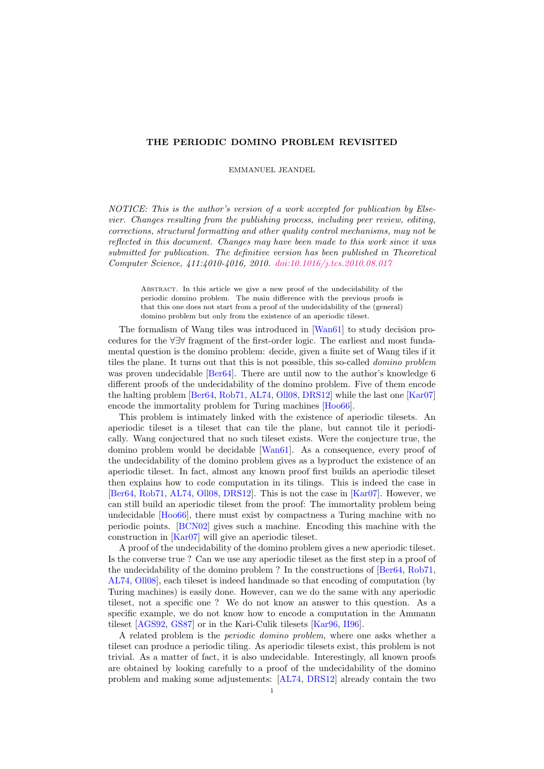# THE PERIODIC DOMINO PROBLEM REVISITED

EMMANUEL JEANDEL

NOTICE: This is the author's version of a work accepted for publication by Elsevier. Changes resulting from the publishing process, including peer review, editing, corrections, structural formatting and other quality control mechanisms, may not be reflected in this document. Changes may have been made to this work since it was submitted for publication. The definitive version has been published in Theoretical Computer Science, 411:4010-4016, 2010. [doi:10.1016/j.tcs.2010.08.017](http://dx.doi.org/10.1016/j.tcs.2010.08.017)

Abstract. In this article we give a new proof of the undecidability of the periodic domino problem. The main difference with the previous proofs is that this one does not start from a proof of the undecidability of the (general) domino problem but only from the existence of an aperiodic tileset.

The formalism of Wang tiles was introduced in [\[Wan61\]](#page-9-0) to study decision procedures for the ∀∃∀ fragment of the first-order logic. The earliest and most fundamental question is the domino problem: decide, given a finite set of Wang tiles if it tiles the plane. It turns out that this is not possible, this so-called domino problem was proven undecidable [\[Ber64\]](#page-9-1). There are until now to the author's knowledge 6 different proofs of the undecidability of the domino problem. Five of them encode the halting problem [\[Ber64,](#page-9-1) [Rob71,](#page-9-2) [AL74,](#page-9-3) [Oll08,](#page-9-4) [DRS12\]](#page-9-5) while the last one [\[Kar07\]](#page-9-6) encode the immortality problem for Turing machines [\[Hoo66\]](#page-9-7).

This problem is intimately linked with the existence of aperiodic tilesets. An aperiodic tileset is a tileset that can tile the plane, but cannot tile it periodically. Wang conjectured that no such tileset exists. Were the conjecture true, the domino problem would be decidable [\[Wan61\]](#page-9-0). As a consequence, every proof of the undecidability of the domino problem gives as a byproduct the existence of an aperiodic tileset. In fact, almost any known proof first builds an aperiodic tileset then explains how to code computation in its tilings. This is indeed the case in [\[Ber64,](#page-9-1) [Rob71,](#page-9-2) [AL74,](#page-9-3) [Oll08,](#page-9-4) [DRS12\]](#page-9-5). This is not the case in [\[Kar07\]](#page-9-6). However, we can still build an aperiodic tileset from the proof: The immortality problem being undecidable [\[Hoo66\]](#page-9-7), there must exist by compactness a Turing machine with no periodic points. [\[BCN02\]](#page-9-8) gives such a machine. Encoding this machine with the construction in [\[Kar07\]](#page-9-6) will give an aperiodic tileset.

A proof of the undecidability of the domino problem gives a new aperiodic tileset. Is the converse true ? Can we use any aperiodic tileset as the first step in a proof of the undecidability of the domino problem ? In the constructions of [\[Ber64,](#page-9-1) [Rob71,](#page-9-2) [AL74,](#page-9-3) [Oll08\]](#page-9-4), each tileset is indeed handmade so that encoding of computation (by Turing machines) is easily done. However, can we do the same with any aperiodic tileset, not a specific one ? We do not know an answer to this question. As a specific example, we do not know how to encode a computation in the Ammann tileset [\[AGS92,](#page-9-9) [GS87\]](#page-9-10) or in the Kari-Culik tilesets [\[Kar96,](#page-9-11) [II96\]](#page-9-12).

A related problem is the *periodic domino problem*, where one asks whether a tileset can produce a periodic tiling. As aperiodic tilesets exist, this problem is not trivial. As a matter of fact, it is also undecidable. Interestingly, all known proofs are obtained by looking carefully to a proof of the undecidability of the domino problem and making some adjustements: [\[AL74,](#page-9-3) [DRS12\]](#page-9-5) already contain the two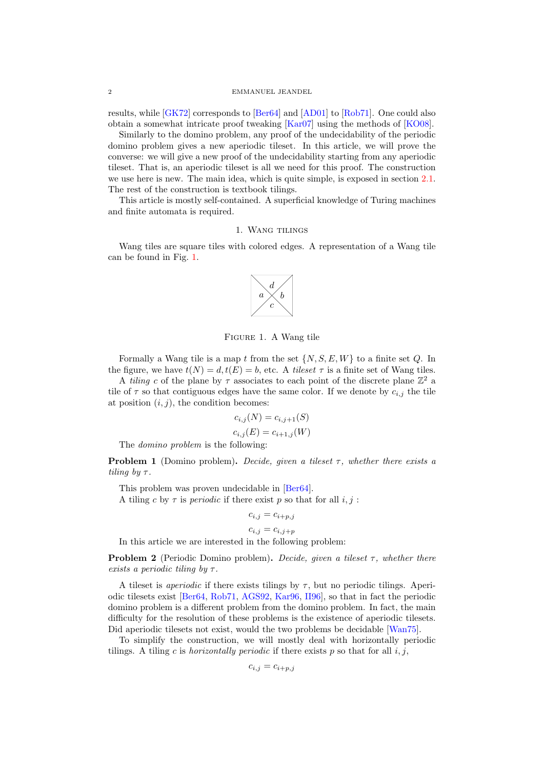results, while [\[GK72\]](#page-9-13) corresponds to [\[Ber64\]](#page-9-1) and [\[AD01\]](#page-9-14) to [\[Rob71\]](#page-9-2). One could also obtain a somewhat intricate proof tweaking [\[Kar07\]](#page-9-6) using the methods of [\[KO08\]](#page-9-15).

Similarly to the domino problem, any proof of the undecidability of the periodic domino problem gives a new aperiodic tileset. In this article, we will prove the converse: we will give a new proof of the undecidability starting from any aperiodic tileset. That is, an aperiodic tileset is all we need for this proof. The construction we use here is new. The main idea, which is quite simple, is exposed in section [2.1.](#page-2-0) The rest of the construction is textbook tilings.

This article is mostly self-contained. A superficial knowledge of Turing machines and finite automata is required.

## 1. WANG TILINGS

Wang tiles are square tiles with colored edges. A representation of a Wang tile can be found in Fig. [1.](#page-1-0)



<span id="page-1-0"></span>Figure 1. A Wang tile

Formally a Wang tile is a map t from the set  $\{N, S, E, W\}$  to a finite set Q. In the figure, we have  $t(N) = d, t(E) = b$ , etc. A *tileset*  $\tau$  is a finite set of Wang tiles.

A tiling c of the plane by  $\tau$  associates to each point of the discrete plane  $\mathbb{Z}^2$  a tile of  $\tau$  so that contiguous edges have the same color. If we denote by  $c_{i,j}$  the tile at position  $(i, j)$ , the condition becomes:

$$
c_{i,j}(N) = c_{i,j+1}(S)
$$
  

$$
c_{i,j}(E) = c_{i+1,j}(W)
$$

The domino problem is the following:

**Problem 1** (Domino problem). Decide, given a tileset  $\tau$ , whether there exists a tiling by  $\tau$ .

This problem was proven undecidable in [\[Ber64\]](#page-9-1).

A tiling c by  $\tau$  is *periodic* if there exist p so that for all i, j:

$$
c_{i,j}=c_{i+p,j}\,
$$

$$
c_{i,j} = c_{i,j+p}
$$

In this article we are interested in the following problem:

**Problem 2** (Periodic Domino problem). Decide, given a tileset  $\tau$ , whether there exists a periodic tiling by  $\tau$ .

A tileset is *aperiodic* if there exists tilings by  $\tau$ , but no periodic tilings. Aperiodic tilesets exist [\[Ber64,](#page-9-1) [Rob71,](#page-9-2) [AGS92,](#page-9-9) [Kar96,](#page-9-11) [II96\]](#page-9-12), so that in fact the periodic domino problem is a different problem from the domino problem. In fact, the main difficulty for the resolution of these problems is the existence of aperiodic tilesets. Did aperiodic tilesets not exist, would the two problems be decidable [\[Wan75\]](#page-9-16).

To simplify the construction, we will mostly deal with horizontally periodic tilings. A tiling c is *horizontally periodic* if there exists p so that for all  $i, j$ ,

$$
c_{i,j} = c_{i+p,j}
$$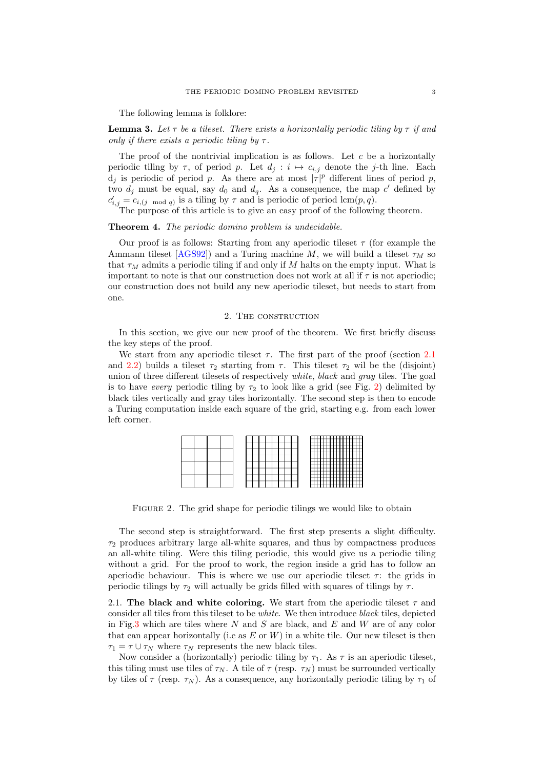The following lemma is folklore:

**Lemma 3.** Let  $\tau$  be a tileset. There exists a horizontally periodic tiling by  $\tau$  if and only if there exists a periodic tiling by  $\tau$ .

The proof of the nontrivial implication is as follows. Let  $c$  be a horizontally periodic tiling by  $\tau$ , of period p. Let  $d_i : i \mapsto c_{i,j}$  denote the j-th line. Each  $d_j$  is periodic of period p. As there are at most  $|\tau|^p$  different lines of period p, two  $d_j$  must be equal, say  $d_0$  and  $d_q$ . As a consequence, the map c' defined by  $c'_{i,j} = c_{i,(j \mod q)}$  is a tiling by  $\tau$  and is periodic of period lcm $(p, q)$ .

The purpose of this article is to give an easy proof of the following theorem.

### Theorem 4. The periodic domino problem is undecidable.

Our proof is as follows: Starting from any aperiodic tileset  $\tau$  (for example the Ammann tileset [\[AGS92\]](#page-9-9)) and a Turing machine M, we will build a tileset  $\tau_M$  so that  $\tau_M$  admits a periodic tiling if and only if M halts on the empty input. What is important to note is that our construction does not work at all if  $\tau$  is not aperiodic; our construction does not build any new aperiodic tileset, but needs to start from one.

## 2. The construction

In this section, we give our new proof of the theorem. We first briefly discuss the key steps of the proof.

We start from any aperiodic tileset  $\tau$ . The first part of the proof (section [2.1](#page-2-0)) and [2.2\)](#page-3-0) builds a tileset  $\tau_2$  starting from  $\tau$ . This tileset  $\tau_2$  wil be the (disjoint) union of three different tilesets of respectively *white*, *black* and *gray* tiles. The goal is to have every periodic tiling by  $\tau_2$  to look like a grid (see Fig. [2\)](#page-2-1) delimited by black tiles vertically and gray tiles horizontally. The second step is then to encode a Turing computation inside each square of the grid, starting e.g. from each lower left corner.

|  |  |  |  | <br>-<br><b>STATE</b>                                    |
|--|--|--|--|----------------------------------------------------------|
|  |  |  |  | <b>STATISTICS</b><br>--                                  |
|  |  |  |  |                                                          |
|  |  |  |  | -<br>-<br>store.<br>٠<br>--<br>___<br>--<br>--<br>--<br> |

<span id="page-2-1"></span>FIGURE 2. The grid shape for periodic tilings we would like to obtain

The second step is straightforward. The first step presents a slight difficulty.  $\tau_2$  produces arbitrary large all-white squares, and thus by compactness produces an all-white tiling. Were this tiling periodic, this would give us a periodic tiling without a grid. For the proof to work, the region inside a grid has to follow an aperiodic behaviour. This is where we use our aperiodic tileset  $\tau$ : the grids in periodic tilings by  $\tau_2$  will actually be grids filled with squares of tilings by  $\tau$ .

<span id="page-2-0"></span>2.1. The black and white coloring. We start from the aperiodic tileset  $\tau$  and consider all tiles from this tileset to be white. We then introduce black tiles, depicted in Fig[.3](#page-3-1) which are tiles where N and S are black, and E and W are of any color that can appear horizontally (i.e as  $E$  or  $W$ ) in a white tile. Our new tileset is then  $\tau_1 = \tau \cup \tau_N$  where  $\tau_N$  represents the new black tiles.

Now consider a (horizontally) periodic tiling by  $\tau_1$ . As  $\tau$  is an aperiodic tileset, this tiling must use tiles of  $\tau_N$ . A tile of  $\tau$  (resp.  $\tau_N$ ) must be surrounded vertically by tiles of  $\tau$  (resp.  $\tau_N$ ). As a consequence, any horizontally periodic tiling by  $\tau_1$  of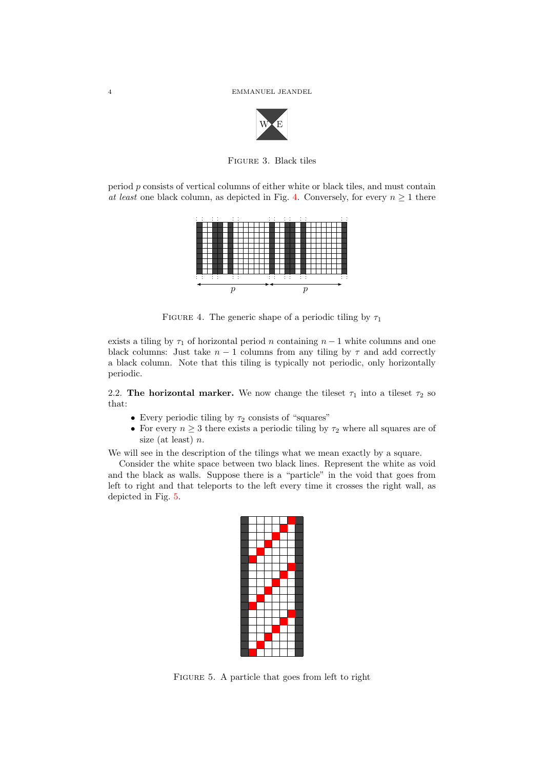<span id="page-3-1"></span>

Figure 3. Black tiles

period p consists of vertical columns of either white or black tiles, and must contain at least one black column, as depicted in Fig. [4.](#page-3-2) Conversely, for every  $n \geq 1$  there



<span id="page-3-2"></span>FIGURE 4. The generic shape of a periodic tiling by  $\tau_1$ 

exists a tiling by  $\tau_1$  of horizontal period n containing  $n-1$  white columns and one black columns: Just take  $n - 1$  columns from any tiling by  $\tau$  and add correctly a black column. Note that this tiling is typically not periodic, only horizontally periodic.

<span id="page-3-0"></span>2.2. The horizontal marker. We now change the tileset  $\tau_1$  into a tileset  $\tau_2$  so that:

- Every periodic tiling by  $\tau_2$  consists of "squares"
- For every  $n \geq 3$  there exists a periodic tiling by  $\tau_2$  where all squares are of size (at least)  $n$ .

We will see in the description of the tilings what we mean exactly by a square.

Consider the white space between two black lines. Represent the white as void and the black as walls. Suppose there is a "particle" in the void that goes from left to right and that teleports to the left every time it crosses the right wall, as depicted in Fig. [5.](#page-3-3)

<span id="page-3-3"></span>FIGURE 5. A particle that goes from left to right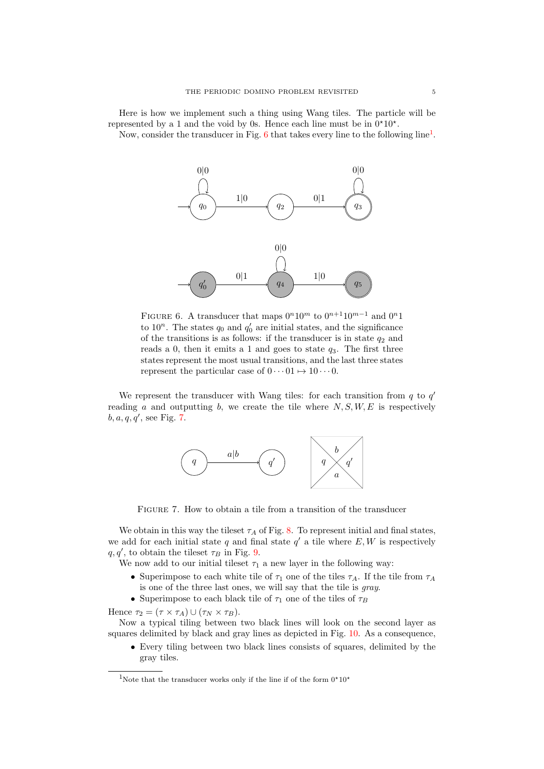Here is how we implement such a thing using Wang tiles. The particle will be represented by a 1 and the void by 0s. Hence each line must be in  $0*10*$ .

Now, consider the transducer in Fig. [6](#page-4-0) that takes every line to the following  $\text{line}^1$  $\text{line}^1$ .



<span id="page-4-0"></span>FIGURE 6. A transducer that maps  $0^n10^m$  to  $0^{n+1}10^{m-1}$  and  $0^n1$ to  $10^n$ . The states  $q_0$  and  $q'_0$  are initial states, and the significance of the transitions is as follows: if the transducer is in state  $q_2$  and reads a 0, then it emits a 1 and goes to state  $q_3$ . The first three states represent the most usual transitions, and the last three states represent the particular case of  $0 \cdots 01 \mapsto 10 \cdots 0$ .

We represent the transducer with Wang tiles: for each transition from  $q$  to  $q'$ reading a and outputting b, we create the tile where  $N, S, W, E$  is respectively  $b, a, q, q'$ , see Fig. [7.](#page-4-2)



<span id="page-4-2"></span>FIGURE 7. How to obtain a tile from a transition of the transducer

We obtain in this way the tileset  $\tau_A$  of Fig. [8.](#page-5-0) To represent initial and final states, we add for each initial state  $q$  and final state  $q'$  a tile where  $E, W$  is respectively  $q, q'$ , to obtain the tileset  $\tau_B$  in Fig. [9.](#page-5-1)

We now add to our initial tileset  $\tau_1$  a new layer in the following way:

- Superimpose to each white tile of  $\tau_1$  one of the tiles  $\tau_A$ . If the tile from  $\tau_A$ is one of the three last ones, we will say that the tile is gray.
- Superimpose to each black tile of  $\tau_1$  one of the tiles of  $\tau_B$

Hence  $\tau_2 = (\tau \times \tau_A) \cup (\tau_N \times \tau_B).$ 

Now a typical tiling between two black lines will look on the second layer as squares delimited by black and gray lines as depicted in Fig. [10.](#page-5-2) As a consequence,

• Every tiling between two black lines consists of squares, delimited by the gray tiles.

<span id="page-4-1"></span><sup>&</sup>lt;sup>1</sup>Note that the transducer works only if the line if of the form  $0*10*$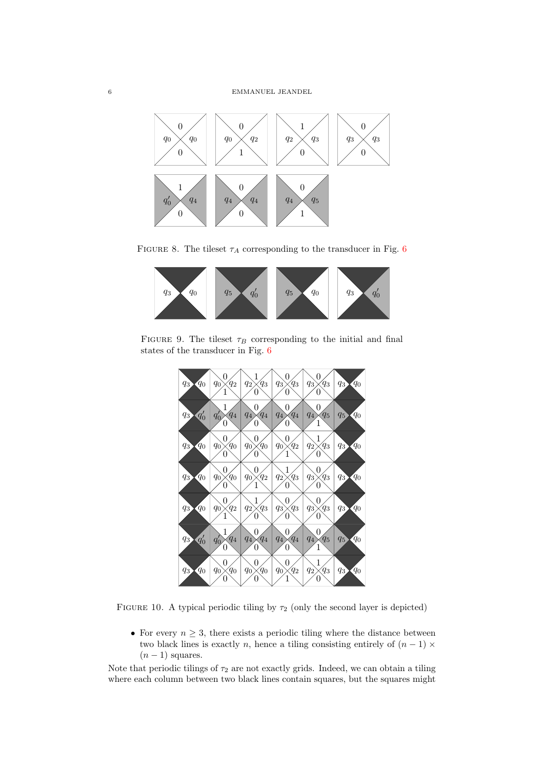

FIGURE 8. The tileset  $\tau_A$  corresponding to the transducer in Fig. [6](#page-4-0)

<span id="page-5-0"></span>

FIGURE 9. The tileset  $\tau_B$  corresponding to the initial and final states of the transducer in Fig. [6](#page-4-0)

<span id="page-5-1"></span>

FIGURE 10. A typical periodic tiling by  $\tau_2$  (only the second layer is depicted)

<span id="page-5-2"></span>• For every  $n \geq 3$ , there exists a periodic tiling where the distance between two black lines is exactly n, hence a tiling consisting entirely of  $(n - 1) \times$  $(n-1)$  squares.

Note that periodic tilings of  $\tau_2$  are not exactly grids. Indeed, we can obtain a tiling where each column between two black lines contain squares, but the squares might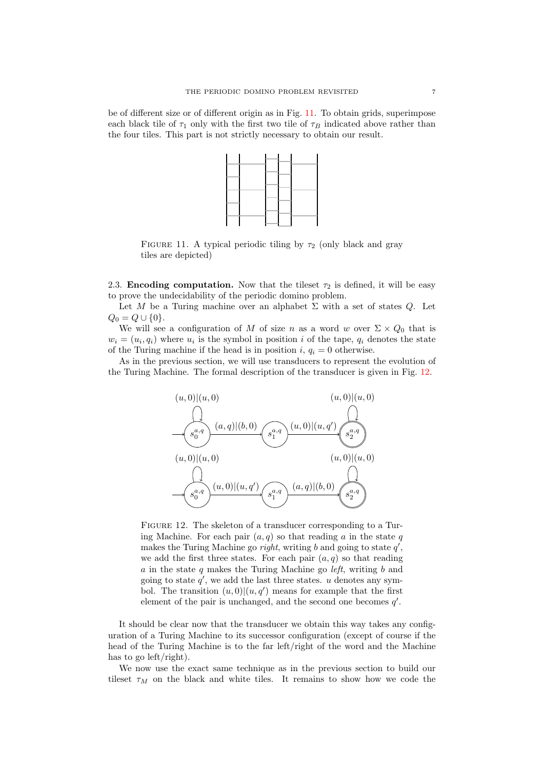be of different size or of different origin as in Fig. [11.](#page-6-0) To obtain grids, superimpose each black tile of  $\tau_1$  only with the first two tile of  $\tau_B$  indicated above rather than the four tiles. This part is not strictly necessary to obtain our result.



<span id="page-6-0"></span>FIGURE 11. A typical periodic tiling by  $\tau_2$  (only black and gray tiles are depicted)

<span id="page-6-2"></span>2.3. Encoding computation. Now that the tileset  $\tau_2$  is defined, it will be easy to prove the undecidability of the periodic domino problem.

Let M be a Turing machine over an alphabet  $\Sigma$  with a set of states Q. Let  $Q_0 = Q \cup \{0\}.$ 

We will see a configuration of M of size n as a word w over  $\Sigma \times Q_0$  that is  $w_i = (u_i, q_i)$  where  $u_i$  is the symbol in position i of the tape,  $q_i$  denotes the state of the Turing machine if the head is in position i,  $q_i = 0$  otherwise.

As in the previous section, we will use transducers to represent the evolution of the Turing Machine. The formal description of the transducer is given in Fig. [12.](#page-6-1)



<span id="page-6-1"></span>FIGURE 12. The skeleton of a transducer corresponding to a Turing Machine. For each pair  $(a, q)$  so that reading a in the state q makes the Turing Machine go *right*, writing  $b$  and going to state  $q'$ , we add the first three states. For each pair  $(a, q)$  so that reading  $a$  in the state  $q$  makes the Turing Machine go *left*, writing  $b$  and going to state  $q'$ , we add the last three states. u denotes any symbol. The transition  $(u, 0) | (u, q')$  means for example that the first element of the pair is unchanged, and the second one becomes  $q'$ .

It should be clear now that the transducer we obtain this way takes any configuration of a Turing Machine to its successor configuration (except of course if the head of the Turing Machine is to the far left/right of the word and the Machine has to go left/right).

We now use the exact same technique as in the previous section to build our tileset  $\tau_M$  on the black and white tiles. It remains to show how we code the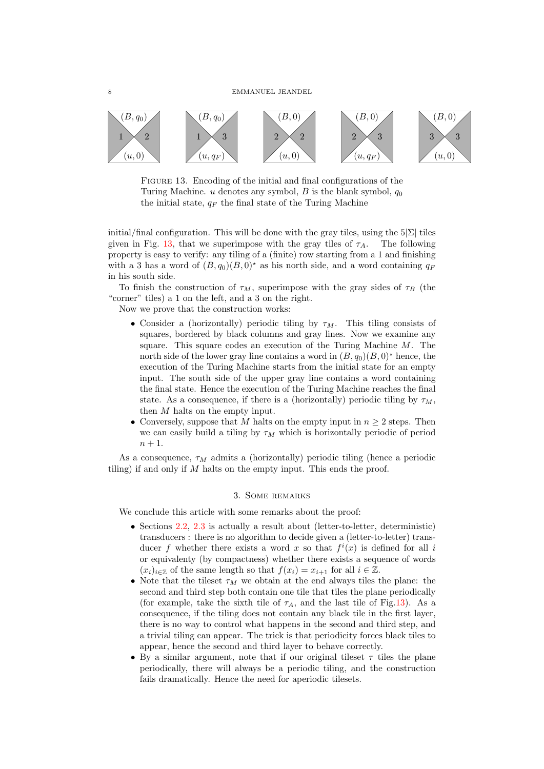

<span id="page-7-0"></span>FIGURE 13. Encoding of the initial and final configurations of the Turing Machine. u denotes any symbol, B is the blank symbol,  $q_0$ the initial state,  $q_F$  the final state of the Turing Machine

initial/final configuration. This will be done with the gray tiles, using the  $5|\Sigma|$  tiles given in Fig. [13,](#page-7-0) that we superimpose with the gray tiles of  $\tau_A$ . The following property is easy to verify: any tiling of a (finite) row starting from a 1 and finishing with a 3 has a word of  $(B, q_0)(B, 0)^*$  as his north side, and a word containing  $q_F$ in his south side.

To finish the construction of  $\tau_M$ , superimpose with the gray sides of  $\tau_B$  (the "corner" tiles) a 1 on the left, and a 3 on the right.

Now we prove that the construction works:

- Consider a (horizontally) periodic tiling by  $\tau_M$ . This tiling consists of squares, bordered by black columns and gray lines. Now we examine any square. This square codes an execution of the Turing Machine  $M$ . The north side of the lower gray line contains a word in  $(B, q_0)(B, 0)^*$  hence, the execution of the Turing Machine starts from the initial state for an empty input. The south side of the upper gray line contains a word containing the final state. Hence the execution of the Turing Machine reaches the final state. As a consequence, if there is a (horizontally) periodic tiling by  $\tau_M$ . then M halts on the empty input.
- Conversely, suppose that M halts on the empty input in  $n \geq 2$  steps. Then we can easily build a tiling by  $\tau_M$  which is horizontally periodic of period  $n+1$ .

As a consequence,  $\tau_M$  admits a (horizontally) periodic tiling (hence a periodic tiling) if and only if  $M$  halts on the empty input. This ends the proof.

# 3. Some remarks

We conclude this article with some remarks about the proof:

- Sections [2.2,](#page-3-0) [2.3](#page-6-2) is actually a result about (letter-to-letter, deterministic) transducers : there is no algorithm to decide given a (letter-to-letter) transducer f whether there exists a word x so that  $f^{i}(x)$  is defined for all i or equivalenty (by compactness) whether there exists a sequence of words  $(x_i)_{i\in\mathbb{Z}}$  of the same length so that  $f(x_i) = x_{i+1}$  for all  $i \in \mathbb{Z}$ .
- Note that the tileset  $\tau_M$  we obtain at the end always tiles the plane: the second and third step both contain one tile that tiles the plane periodically (for example, take the sixth tile of  $\tau_A$ , and the last tile of Fig[.13\)](#page-7-0). As a consequence, if the tiling does not contain any black tile in the first layer, there is no way to control what happens in the second and third step, and a trivial tiling can appear. The trick is that periodicity forces black tiles to appear, hence the second and third layer to behave correctly.
- By a similar argument, note that if our original tileset  $\tau$  tiles the plane periodically, there will always be a periodic tiling, and the construction fails dramatically. Hence the need for aperiodic tilesets.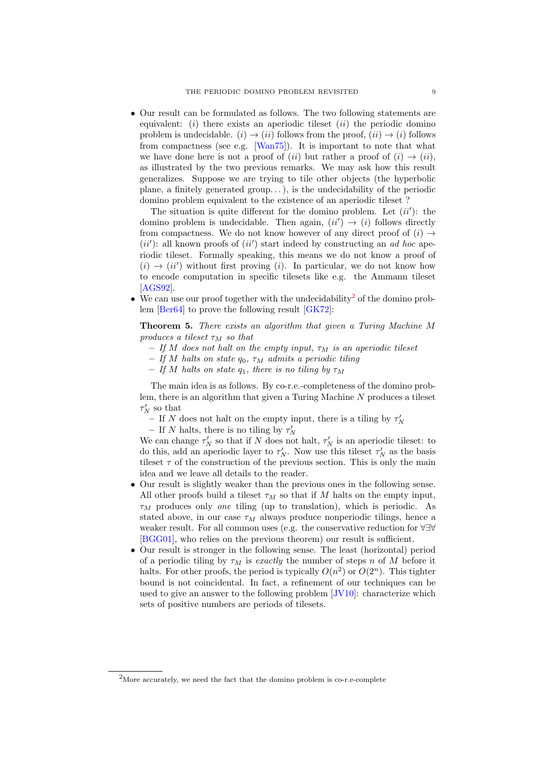• Our result can be formulated as follows. The two following statements are equivalent: (i) there exists an aperiodic tileset  $(ii)$  the periodic domino problem is undecidable.  $(i) \rightarrow (ii)$  follows from the proof,  $(ii) \rightarrow (i)$  follows from compactness (see e.g. [\[Wan75\]](#page-9-16)). It is important to note that what we have done here is not a proof of (ii) but rather a proof of (i)  $\rightarrow$  (ii), as illustrated by the two previous remarks. We may ask how this result generalizes. Suppose we are trying to tile other objects (the hyperbolic plane, a finitely generated group...), is the undecidability of the periodic domino problem equivalent to the existence of an aperiodic tileset ?

The situation is quite different for the domino problem. Let  $(ii')$ : the domino problem is undecidable. Then again,  $(ii') \rightarrow (i)$  follows directly from compactness. We do not know however of any direct proof of  $(i) \rightarrow$  $(ii')$ : all known proofs of  $(ii')$  start indeed by constructing an *ad hoc* aperiodic tileset. Formally speaking, this means we do not know a proof of  $(i) \rightarrow (ii')$  without first proving (i). In particular, we do not know how to encode computation in specific tilesets like e.g. the Ammann tileset [\[AGS92\]](#page-9-9).

• We can use our proof together with the undecidability<sup>[2](#page-8-0)</sup> of the domino problem [\[Ber64\]](#page-9-1) to prove the following result [\[GK72\]](#page-9-13):

Theorem 5. There exists an algorithm that given a Turing Machine M produces a tileset  $\tau_M$  so that

- If M does not halt on the empty input,  $\tau_M$  is an aperiodic tileset
- If M halts on state  $q_0$ ,  $\tau_M$  admits a periodic tiling
- If M halts on state  $q_1$ , there is no tiling by  $\tau_M$

The main idea is as follows. By co-r.e.-completeness of the domino problem, there is an algorithm that given a Turing Machine  $N$  produces a tileset  $\tau_N'$  so that

- If N does not halt on the empty input, there is a tiling by  $\tau_N'$
- If N halts, there is no tiling by  $\tau'_{N}$

We can change  $\tau_N'$  so that if N does not halt,  $\tau_N'$  is an aperiodic tileset: to do this, add an aperiodic layer to  $\tau'_N$ . Now use this tileset  $\tau'_N$  as the basis tileset  $\tau$  of the construction of the previous section. This is only the main idea and we leave all details to the reader.

- Our result is slightly weaker than the previous ones in the following sense. All other proofs build a tileset  $\tau_M$  so that if M halts on the empty input,  $\tau_M$  produces only one tiling (up to translation), which is periodic. As stated above, in our case  $\tau_M$  always produce nonperiodic tilings, hence a weaker result. For all common uses (e.g. the conservative reduction for ∀∃∀ [\[BGG01\]](#page-9-17), who relies on the previous theorem) our result is sufficient.
- Our result is stronger in the following sense. The least (horizontal) period of a periodic tiling by  $\tau_M$  is exactly the number of steps n of M before it halts. For other proofs, the period is typically  $O(n^2)$  or  $O(2^n)$ . This tighter bound is not coincidental. In fact, a refinement of our techniques can be used to give an answer to the following problem [\[JV10\]](#page-9-18): characterize which sets of positive numbers are periods of tilesets.

<span id="page-8-0"></span><sup>&</sup>lt;sup>2</sup>More accurately, we need the fact that the domino problem is co-r.e-complete